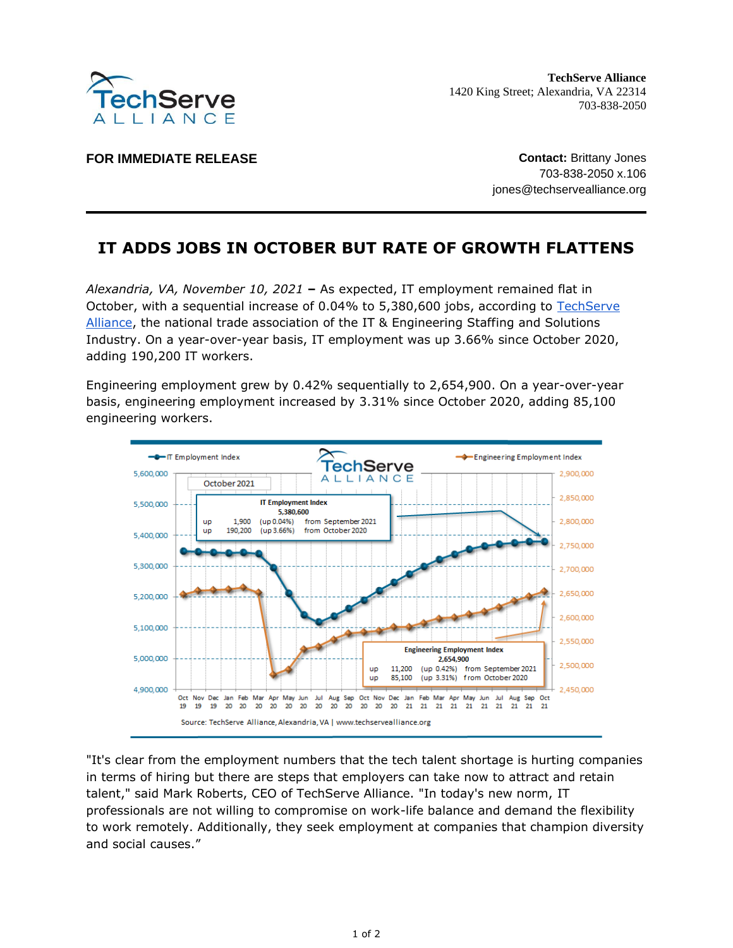

**TechServe Alliance** 1420 King Street; Alexandria, VA 22314 703-838-2050

**FOR IMMEDIATE RELEASE CONTACT IN STATE ASSESSED ASSESSED ASSESSED AT A CONTACT SET AND A CONTACT SET AND A LOCAL TO A LOCAL THE SET AND A LOCAL THE SET AND A LOCAL THE SET AND A LOCAL THE SET AND A LOCAL THE SET AND A L** 

703-838-2050 x.106 jones@techservealliance.org

## **IT ADDS JOBS IN OCTOBER BUT RATE OF GROWTH FLATTENS**

*Alexandria, VA, November 10, 2021* **–** As expected, IT employment remained flat in October, with a sequential increase of 0.04% to 5,380,600 jobs, according to [TechServe](https://www.techservealliance.org/)  [Alliance,](https://www.techservealliance.org/) the national trade association of the IT & Engineering Staffing and Solutions Industry. On a year-over-year basis, IT employment was up 3.66% since October 2020, adding 190,200 IT workers.

Engineering employment grew by 0.42% sequentially to 2,654,900. On a year-over-year basis, engineering employment increased by 3.31% since October 2020, adding 85,100 engineering workers.



"It's clear from the employment numbers that the tech talent shortage is hurting companies in terms of hiring but there are steps that employers can take now to attract and retain talent," said Mark Roberts, CEO of TechServe Alliance. "In today's new norm, IT professionals are not willing to compromise on work-life balance and demand the flexibility to work remotely. Additionally, they seek employment at companies that champion diversity and social causes."